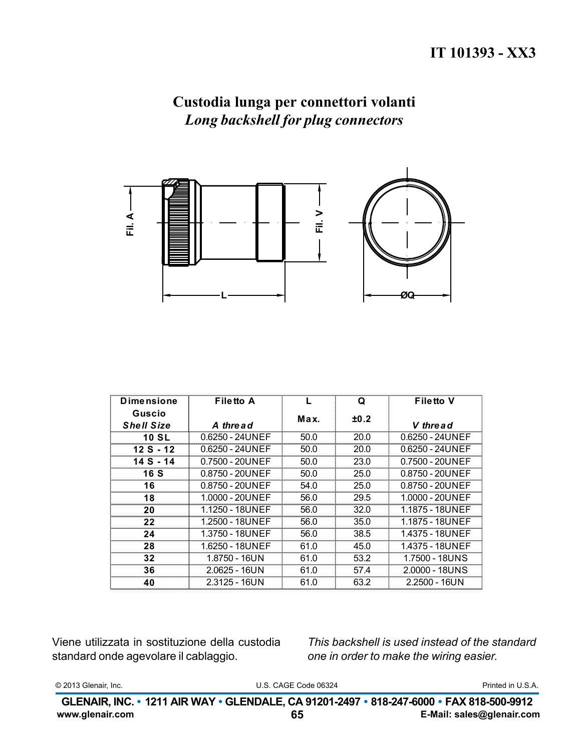## Custodia lunga per connettori volanti Long backshell for plug connectors



| <b>Dimensione</b> | <b>Filetto A</b> |      | Q    | <b>Filetto V</b>  |
|-------------------|------------------|------|------|-------------------|
| Guscio            |                  | Max. | ±0.2 |                   |
| <b>Shell Size</b> | A thread         |      |      | V thread          |
| <b>10 SL</b>      | 0.6250 - 24UNEF  | 50.0 | 20.0 | $0.6250 - 24UNEF$ |
| $12S - 12$        | 0.6250 - 24UNEF  | 50.0 | 20.0 | $0.6250 - 24UNEF$ |
| 14 S - 14         | 0.7500 - 20UNEF  | 50.0 | 23.0 | 0.7500 - 20UNEF   |
| <b>16 S</b>       | 0.8750 - 20UNEF  | 50.0 | 25.0 | 0.8750 - 20UNEF   |
| 16                | 0.8750 - 20UNEF  | 54.0 | 25.0 | 0.8750 - 20UNEF   |
| 18                | 1.0000 - 20UNEF  | 56.0 | 29.5 | 1.0000 - 20UNEF   |
| 20                | 1.1250 - 18UNEF  | 56.0 | 32.0 | 1.1875 - 18UNEF   |
| 22                | 1.2500 - 18UNEF  | 56.0 | 35.0 | 1.1875 - 18UNEF   |
| 24                | 1.3750 - 18UNEF  | 56.0 | 38.5 | 1.4375 - 18UNEF   |
| 28                | 1.6250 - 18UNEF  | 61.0 | 45.0 | 1.4375 - 18UNEF   |
| 32                | 1.8750 - 16UN    | 61.0 | 53.2 | 1.7500 - 18UNS    |
| 36                | $2.0625 - 16UN$  | 61.0 | 57.4 | 2.0000 - 18UNS    |
| 40                | $2.3125 - 16UN$  | 61.0 | 63.2 | $2.2500 - 16UN$   |

Viene utilizzata in sostituzione della custodia standard onde agevolare il cablaggio.

This backshell is used instead of the standard one in order to make the wiring easier.

|  | © 2013 Glenair, Inc. |  |
|--|----------------------|--|
|--|----------------------|--|

U.S. CAGE Code 06324

Printed in U.S.A.